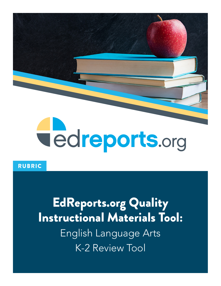

## RUBRIC

# EdReports.org Quality Instructional Materials Tool: English Language Arts K-2 Review Tool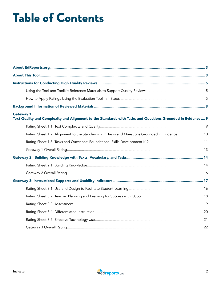# Table of Contents

| <b>Gateway 1:</b><br>Text Quality and Complexity and Alignment to the Standards with Tasks and Questions Grounded in Evidence  9 |  |
|----------------------------------------------------------------------------------------------------------------------------------|--|
|                                                                                                                                  |  |
| Rating Sheet 1.2: Alignment to the Standards with Tasks and Questions Grounded in Evidence 10                                    |  |
|                                                                                                                                  |  |
|                                                                                                                                  |  |
|                                                                                                                                  |  |
|                                                                                                                                  |  |
|                                                                                                                                  |  |
|                                                                                                                                  |  |
|                                                                                                                                  |  |
|                                                                                                                                  |  |
|                                                                                                                                  |  |
|                                                                                                                                  |  |
|                                                                                                                                  |  |
|                                                                                                                                  |  |

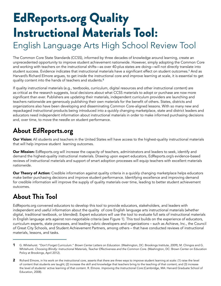# EdReports.org Quality Instructional Materials Tool:

# English Language Arts High School Review Tool

The Common Core State Standards (CCSS), informed by three decades of knowledge around learning, create an unprecedented opportunity to improve student achievement nationwide. However, simply adopting the Common Core and working with teachers on the instructional shifts—as over 40-plus states are doing—will not directly translate into student success. Evidence indicates that instructional materials have a significant effect on student outcomes.<sup>1</sup> And as Harvard's Richard Elmore argues, to get inside the instructional core and improve learning at scale, it is essential to get quality content into the hands of teachers and students.<sup>2</sup>

If quality instructional materials (e.g., textbooks, curriculum, digital resources and other instructional content) are as critical as the research suggests, local decisions about what CCSS materials to adopt or purchase are now more significant than ever. Publishers are updating their materials, independent curriculum providers are launching and teachers nationwide are generously publishing their own materials for the benefit of others. States, districts and organizations also have been developing and disseminating Common Core-aligned lessons. With so many new and repackaged instructional products being introduced into a quickly changing marketplace, state and district leaders and educators need independent information about instructional materials in order to make informed purchasing decisions and, over time, to move the needle on student performance.

# **About EdReports.org**

Our Vision: All students and teachers in the United States will have access to the highest-quality instructional materials that will help improve student learning outcomes.

Our Mission: EdReports.org will increase the capacity of teachers, administrators and leaders to seek, identify and demand the highest-quality instructional materials. Drawing upon expert educators, EdReports.org's evidence-based reviews of instructional materials and support of smart adoption processes will equip teachers with excellent materials nationwide.

**Our Theory of Action:** Credible information against quality criteria in a quickly changing marketplace helps educators make better purchasing decisions and improve student performance. Identifying excellence and improving demand for credible information will improve the supply of quality materials over time, leading to better student achievement outcomes.

# **About This Tool**

EdReports.org convened educators to develop this tool to provide educators, stakeholders, and leaders with independent and useful information about the quality of core English language arts instructional materials (whether digital, traditional textbook, or blended). Expert educators will use the tool to evaluate full sets of instructional materials in English language arts against non-negotiable criteria (see Figure 1). This tool builds on the experience of educators, curriculum experts, state processes, and leading rubric developers and organizations – such as Achieve, Inc., the Council of Great City Schools, and Student Achievement Partners, among others – that have conducted reviews of instructional materials, lessons, and tasks.

<sup>1</sup> G. Whitehurst. "Don't Forget Curriculum." *Brown Center Letters on Education.* (Washington, DC: Brookings Institute, 2009); M. Chingos and G. Whitehurst. *Choosing Blindly: Instructional Materials, Teacher Effectiveness and the Common Core.* (Washington, DC: Brown Center on Education Policy at Brookings, April 2012).

<sup>2</sup> Richard Elmore, in his work on the instructional core, asserts that there are three ways to improve student learning at scale: (1) raise the level of content that students are taught; (2) increase the skill and knowledge that teachers bring to the teaching of that content; and (3) increase the level of students' active learning of that content. R. Elmore. *Improving the Instructional Core* (Cambridge, MA: Harvard Graduate School of Education, 2008).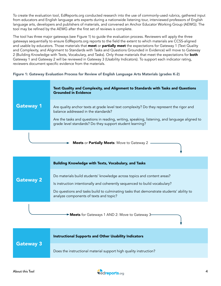To create the evaluation tool, EdReports.org conducted research into the use of commonly-used rubrics, gathered input from educators and English language arts experts during a nationwide listening tour, interviewed professors of English language arts, developers and publishers of materials, and convened an Anchor Educator Working Group (AEWG). The tool may be refined by the AEWG after the first set of reviews is complete.

The tool has three major gateways (see Figure 1) to guide the evaluation process. Reviewers will apply the three gateways sequentially to ensure EdReports.org reports to the field the extent to which materials are CCSS-aligned and usable by educators. Those materials that meet or partially meet the expectations for Gateway 1 (Text Quality and Complexity, and Alignment to Standards with Tasks and Questions Grounded in Evidence) will move to Gateway 2 (Building Knowledge with Texts, Vocabulary, and Tasks). Only those materials that meet the expectations for **both** Gateway 1 and Gateway 2 will be reviewed in Gateway 3 (Usability Indicators). To support each indicator rating, reviewers document specific evidence from the materials.

### Figure 1: Gateway Evaluation Process for Review of English Language Arts Materials (grades K-2)



|                  | <b>Building Knowledge with Texts, Vocabulary, and Tasks</b>                                                                                                                                                                                                                                |
|------------------|--------------------------------------------------------------------------------------------------------------------------------------------------------------------------------------------------------------------------------------------------------------------------------------------|
| <b>Gateway 2</b> | Do materials build students' knowledge across topics and content areas?<br>Is instruction intentionally and coherently sequenced to build vocabulary?<br>Do questions and tasks build to culminating tasks that demonstrate students' ability to<br>analyze components of texts and topic? |
|                  | Meets for Gateways 1 AND 2: Move to Gateway 3-                                                                                                                                                                                                                                             |

|                  | <b>Instructional Supports and Other Usability Indicators</b>      |
|------------------|-------------------------------------------------------------------|
| <b>Gateway 3</b> | Does the instructional material support high quality instruction? |

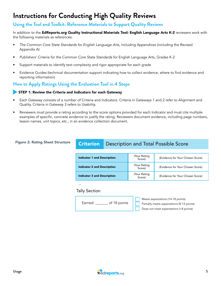# **Instructions for Conducting High Quality Reviews**

### **Using the Tool and Toolkit: Reference Materials to Support Quality Reviews**

In addition to the EdReports.org Quality Instructional Materials Tool: English Language Arts K-2 reviewers work with the following materials as references:

- *The Common Core State Standards for English Language Arts,* including Appendices (including the Revised Appendix A)
- *Publishers' Criteria for the Common Core State Standards* for English Language Arts, Grades K-2
- Support materials to identify text complexity and rigor appropriate for each grade
- Evidence Guides (technical documentation support indicating how to collect evidence, where to find evidence and reporting information)

### **How to Apply Ratings Using the Evaluation Tool in 4 Steps**

### STEP 1: Review the Criteria and Indicators for each Gateway

- Each Gateway consists of a number of Criteria and Indicators. Criteria in Gateways 1 and 2 refer to Alignment and Quality. Criteria in Gateway 3 refers to Usability.
- Reviewers must provide a rating according to the score options provided for each Indicator and must cite multiple examples of specific, concrete evidence to justify the rating. Reviewers document evidence, including page numbers, lesson names, unit topics, etc., in an evidence collection document.

#### Figure 2: Rating Sheet Structure

### **Criterion** Description and Total Possible Score

| <b>Indicator 1 and Description</b> | Your Rating<br>Score)  | (Evidence for Your Chosen Score) |
|------------------------------------|------------------------|----------------------------------|
| <b>Indicator 2 and Description</b> | (Your Rating<br>Score) | (Evidence for Your Chosen Score) |
| <b>Indicator 3 and Description</b> | Your Rating<br>Score)  | (Evidence for Your Chosen Score) |

...

### Tally Section

Earned: \_\_\_\_\_\_\_ of 18 points

Meets expectations (14-18 points)

Partially meets expectations (8-13 points)

Does not meet expectations (<8 points)

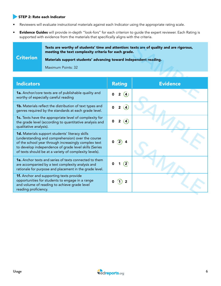### STEP 2: Rate each Indicator

- Reviewers will evaluate instructional materials against each Indicator using the appropriate rating scale.
- **Evidence Guides** will provide in-depth "look-fors" for each criterion to guide the expert reviewer. Each Rating is supported with evidence from the materials that specifically aligns with the criteria.

### **Criterion** Texts are worthy of students' time and attention: texts are of quality and are rigorous, meeting the text complexity criteria for each grade. Materials support students' advancing toward independent reading.

| Texts are worthy of students' time and attention: texts are of quality and are rigorous,<br>meeting the text complexity criteria for each grade. |                                                                                                                                                                                                                                                                                        |                                                 |                 |  |  |  |
|--------------------------------------------------------------------------------------------------------------------------------------------------|----------------------------------------------------------------------------------------------------------------------------------------------------------------------------------------------------------------------------------------------------------------------------------------|-------------------------------------------------|-----------------|--|--|--|
| <b>Criterion</b>                                                                                                                                 | Materials support students' advancing toward independent reading.                                                                                                                                                                                                                      |                                                 |                 |  |  |  |
|                                                                                                                                                  | Maximum Points: 32                                                                                                                                                                                                                                                                     |                                                 |                 |  |  |  |
|                                                                                                                                                  |                                                                                                                                                                                                                                                                                        |                                                 |                 |  |  |  |
| <b>Indicators</b>                                                                                                                                |                                                                                                                                                                                                                                                                                        | <b>Rating</b>                                   | <b>Evidence</b> |  |  |  |
|                                                                                                                                                  | 1a. Anchor/core texts are of publishable quality and<br>worthy of especially careful reading                                                                                                                                                                                           | $\mathbf{2}$<br>$\left( \textbf{4}\right)$<br>0 |                 |  |  |  |
|                                                                                                                                                  | <b>1b.</b> Materials reflect the distribution of text types and<br>genres required by the standards at each grade level.                                                                                                                                                               | $\overline{\mathbf{4}}$                         |                 |  |  |  |
| qualitative analysis).                                                                                                                           | 1c. Texts have the appropriate level of complexity for<br>the grade level (according to quantitative analysis and                                                                                                                                                                      | $\left( 4\right)$<br>$\mathbf{2}$<br>0          |                 |  |  |  |
|                                                                                                                                                  | <b>1d.</b> Materials support students' literacy skills<br>(understanding and comprehension) over the course<br>of the school year through increasingly complex text<br>to develop independence of grade level skills (Series<br>of texts should be at a variety of complexity levels). |                                                 |                 |  |  |  |
|                                                                                                                                                  | <b>1e.</b> Anchor texts and series of texts connected to them<br>are accompanied by a text complexity analysis and<br>rationale for purpose and placement in the grade level.                                                                                                          | $\binom{2}{ }$                                  |                 |  |  |  |
| reading proficiency.                                                                                                                             | <b>1f.</b> Anchor and supporting texts provide<br>opportunities for students to engage in a range<br>and volume of reading to achieve grade level                                                                                                                                      | 2<br>$\langle {\bf 1} \rangle$                  |                 |  |  |  |

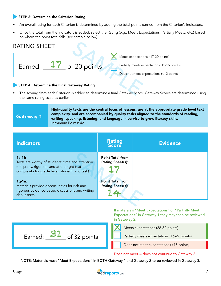### STEP 3: Determine the Criterion Rating

- An overall rating for each Criterion is determined by adding the total points earned from the Criterion's Indicators.
- Once the total from the Indicators is added, select the Rating (e.g., Meets Expectations, Partially Meets, etc.) based on where the point total falls (see sample below).



#### STEP 4: Determine the Final Gateway Rating

• The scoring from each Criterion is added to determine a final Gateway Score. Gateway Scores are determined using the same rating scale as earlier.

### Gateway 1

High-quality texts are the central focus of lessons, are at the appropriate grade level text complexity, and are accompanied by quality tasks aligned to the standards of reading, writing, speaking, listening, and language in service to grow literacy skills. Maximum Points: 42

| <b>Indicators</b>                                                                                                                                               | <b>Rating</b><br><b>Score</b>                      | <b>Evidence</b> |
|-----------------------------------------------------------------------------------------------------------------------------------------------------------------|----------------------------------------------------|-----------------|
| $1a-1f$ :<br>Texts are worthy of students' time and attention<br>(of quality, rigorous, and at the right text<br>complexity for grade level, student, and task) | <b>Point Total from</b><br><b>Rating Sheet(s):</b> |                 |
| $1g-1n$ :<br>Materials provide opportunities for rich and<br>rigorous evidence-based discussions and writing<br>about texts.                                    | <b>Point Total from</b><br><b>Rating Sheet(s):</b> |                 |
|                                                                                                                                                                 |                                                    |                 |

If materaials "Meet Expectations" or "Partially Meet Expectations" in Gateway 1 they may then be reviewed in Gateway 2.



Meets expectations (28-32 points)

Partially meets expectations (16-27 points)

Does not meet expectations (<15 points)

#### Does not meet = does not continue to Gateway 2

NOTE: Materials must "Meet Expectations" in BOTH Gateway 1 and Gateway 2 to be reviewed in Gateway 3.

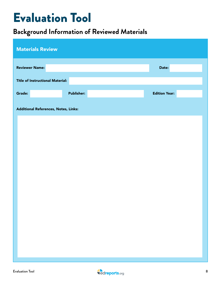# Evaluation Tool

# **Background Information of Reviewed Materials**

| <b>Materials Review</b>                 |                   |                      |
|-----------------------------------------|-------------------|----------------------|
| <b>Reviewer Name:</b>                   |                   | Date:                |
| <b>Title of Instructional Material:</b> |                   |                      |
| Grade:                                  | <b>Publisher:</b> | <b>Edition Year:</b> |
| Additional References, Notes, Links:    |                   |                      |
|                                         |                   |                      |
|                                         |                   |                      |
|                                         |                   |                      |
|                                         |                   |                      |
|                                         |                   |                      |
|                                         |                   |                      |
|                                         |                   |                      |
|                                         |                   |                      |
|                                         |                   |                      |
|                                         |                   |                      |
|                                         |                   |                      |
|                                         |                   |                      |

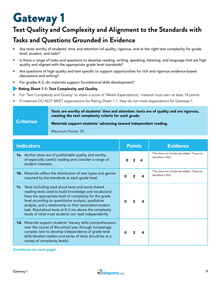# Gateway 1

# **Text Quality and Complexity and Alignment to the Standards with Tasks and Questions Grounded in Evidence**

- Are texts worthy of students' time and attention (of quality, rigorous, and at the right text complexity for grade level, student, and task)?
- Is there a range of tasks and questions to develop reading, writing, speaking, listening, and language that are high quality and aligned with the appropriate grade level standards?
- Are questions of high quality and text specific to support opportunities for rich and rigorous evidence-based discussions and writing?
- For grades K-2, do materials support foundational skills development?

### Rating Sheet 1.1: Text Complexity and Quality

- For 'Text Complexity and Quality' to attain a score of 'Meets Expectations,' material must earn at least 18 points.
- If materials DO NOT MEET expectations for Rating Sheet 1.1, they do not meet expectations for Gateway 1.

#### Texts are worthy of students' time and attention: texts are of quality and are rigorous, meeting the text complexity criteria for each grade.

#### **Criterion** Materials support students' advancing toward independent reading.

Maximum Points: 20

| <b>Indicators</b>                                                                                                                                                                                                                                                                                                                                                                                               | <b>Points</b> | <b>Evidence</b>                                                  |
|-----------------------------------------------------------------------------------------------------------------------------------------------------------------------------------------------------------------------------------------------------------------------------------------------------------------------------------------------------------------------------------------------------------------|---------------|------------------------------------------------------------------|
| <b>1a.</b> Anchor texts are of publishable quality and worthy<br>of especially careful reading and consider a range of<br>student interests.                                                                                                                                                                                                                                                                    |               | *This does not include decodable. Those are<br>identified in RS3 |
| <b>1b.</b> Materials reflect the distribution of text types and genres<br>required by the standards at each grade level.                                                                                                                                                                                                                                                                                        | n<br>4        | *This does not include decodable. Those are<br>identified in RS3 |
| 1c. Texts (including read-aloud texts and some shared<br>reading texts used to build knowledge and vocabulary)<br>have the appropriate level of complexity for the grade<br>level according to quantitative analysis, qualitative<br>analysis, and a relationship to their associated student<br>task. Read-aloud texts at K-2 are above the complexity<br>levels of what most students can read independently. |               |                                                                  |
| <b>1d.</b> Materials support students' literacy skills (comprehension)<br>over the course of the school year through increasingly<br>complex text to develop independence of grade level<br>skills (leveled readers and series of texts should be at a<br>variety of complexity levels).                                                                                                                        |               |                                                                  |

(Continues on next page)

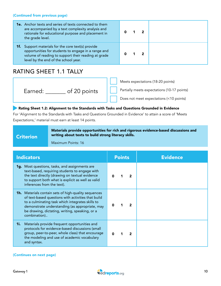#### (Continued from previous page)

| <b>1e.</b> Anchor texts and series of texts connected to them<br>are accompanied by a text complexity analysis and<br>rationale for educational purpose and placement in<br>the grade level.                    |  |  |
|-----------------------------------------------------------------------------------------------------------------------------------------------------------------------------------------------------------------|--|--|
| <b>1f.</b> Support materials for the core text(s) provide<br>opportunities for students to engage in a range and<br>volume of reading to support their reading at grade<br>level by the end of the school year. |  |  |

## RATING SHEET 1.1 TALLY

Earned: \_\_\_\_\_\_\_ of 20 points

Meets expectations (18-20 points)

Partially meets expectations (10-17 points)

Does not meet expectations (<10 points)

### **Rating Sheet 1.2: Alignment to the Standards with Tasks and Questions Grounded in Evidence**

For 'Alignment to the Standards with Tasks and Questions Grounded in Evidence' to attain a score of 'Meets Expectations,' material must earn at least 14 points.

#### **Criterion** Materials provide opportunities for rich and rigorous evidence-based discussions and writing about texts to build strong literacy skills.

Maximum Points: 16

| <b>Indicators</b>  |                                                                                                                                                                                                                                                                           | <b>Points</b> | <b>Evidence</b> |
|--------------------|---------------------------------------------------------------------------------------------------------------------------------------------------------------------------------------------------------------------------------------------------------------------------|---------------|-----------------|
|                    | 1g. Most questions, tasks, and assignments are<br>text-based, requiring students to engage with<br>the text directly (drawing on textual evidence<br>to support both what is explicit as well as valid<br>inferences from the text).                                      |               |                 |
| combination)       | <b>1h.</b> Materials contain sets of high-quality sequences<br>of text-based questions with activities that build<br>to a culminating task which integrates skills to<br>demonstrate understanding (as appropriate, may<br>be drawing, dictating, writing, speaking, or a |               |                 |
| 1i.<br>and syntax. | Materials provide frequent opportunities and<br>protocols for evidence-based discussions (small<br>group, peer-to-peer, whole class) that encourage<br>the modeling and use of academic vocabulary                                                                        |               |                 |

#### (Continues on next page)

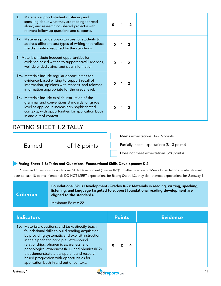| Materials support students' listening and<br>1j.<br>speaking about what they are reading (or read<br>aloud) and researching (shared projects) with<br>relevant follow-up questions and supports.                                         |  |  |
|------------------------------------------------------------------------------------------------------------------------------------------------------------------------------------------------------------------------------------------|--|--|
| <b>1k.</b> Materials provide opportunities for students to<br>address different text types of writing that reflect<br>the distribution required by the standards.                                                                        |  |  |
| 11. Materials include frequent opportunities for<br>evidence-based writing to support careful analyses,<br>well-defended claims, and clear information.                                                                                  |  |  |
| <b>1m.</b> Materials include regular opportunities for<br>evidence-based writing to support recall of<br>information, opinions with reasons, and relevant<br>information appropriate for the grade level.                                |  |  |
| <b>1n.</b> Materials include explicit instruction of the<br>grammar and conventions standards for grade<br>level as applied in increasingly sophisticated<br>contexts, with opportunities for application both<br>in and out of context. |  |  |

## RATING SHEET 1.2 TALLY

|                         | Meets expectations (14-16 points)          |
|-------------------------|--------------------------------------------|
| of 16 points<br>Earned: | Partially meets expectations (8-13 points) |
|                         | Does not meet expectations (<8 points)     |

### Rating Sheet 1.3: Tasks and Questions: Foundational Skills Development K-2

For "Tasks and Questions: Foundational Skills Development (Grades K-2)" to attain a score of 'Meets Expectations,' materials must earn at least 18 points. If materials DO NOT MEET expectations for Rating Sheet 1.3, they do not meet expectations for Gateway 1.

### **Criterion**

Foundational Skills Development (Grades K-2): Materials in reading, writing, speaking, listening, and language targeted to support foundational reading development are aligned to the standards.

Maximum Points: 22

| Indicators                                                                                                                                                                                                                                                                                                                                                                                                                                         | <b>Points</b> | <b>Evidence</b> |
|----------------------------------------------------------------------------------------------------------------------------------------------------------------------------------------------------------------------------------------------------------------------------------------------------------------------------------------------------------------------------------------------------------------------------------------------------|---------------|-----------------|
| <b>10.</b> Materials, questions, and tasks directly teach<br>foundational skills to build reading acquisition<br>by providing systematic and explicit instruction<br>in the alphabetic principle, letter-sound<br>relationships, phonemic awareness, and<br>phonological awareness (K-1), and phonics (K-2)<br>that demonstrate a transparent and research-<br>based progression with opportunities for<br>application both in and out of context. |               |                 |

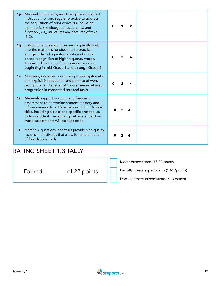| 1p. Materials, questions, and tasks provide explicit<br>instruction for and regular practice to address<br>the acquisition of print concepts, including<br>alphabetic knowledge, directionality, and<br>function (K-1), structures and features of text<br>$(1-2)$ .                                |  | $\mathbf{2}$ |  |
|-----------------------------------------------------------------------------------------------------------------------------------------------------------------------------------------------------------------------------------------------------------------------------------------------------|--|--------------|--|
| 1q. Instructional opportunities are frequently built<br>into the materials for students to practice<br>and gain decoding automaticity and sight-<br>based recognition of high frequency words.<br>This includes reading fluency in oral reading<br>beginning in mid-Grade 1 and through Grade 2     |  | 4            |  |
| <b>1r.</b> Materials, questions, and tasks provide systematic<br>and explicit instruction in and practice of word<br>recognition and analysis skills in a research-based<br>progression in connected text and tasks.                                                                                |  |              |  |
| <b>1s.</b> Materials support ongoing and frequent<br>assessment to determine student mastery and<br>inform meaningful differentiation of foundational<br>skills, including a clear and specific protocol as<br>to how students performing below standard on<br>these assessments will be supported. |  |              |  |
| <b>1t.</b> Materials, questions, and tasks provide high-quality<br>lessons and activities that allow for differentiation<br>of foundational skills.                                                                                                                                                 |  |              |  |

### RATING SHEET 1.3 TALLY

Earned: \_\_\_\_\_\_\_ of 22 points

Meets expectations (18-22 points)

Partially meets expectations (10-17points)

Does not meet expectations (<10 points)

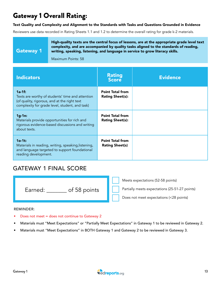## Gateway 1 Overall Rating:

#### Text Quality and Complexity and Alignment to the Standards with Tasks and Questions Grounded in Evidence

Reviewers use data recorded in Rating Sheets 1.1 and 1.2 to determine the overall rating for grade k-2 materials.

Gateway 1

High-quality texts are the central focus of lessons, are at the appropriate grade level text complexity, and are accompanied by quality tasks aligned to the standards of reading, writing, speaking, listening, and language in service to grow literacy skills.

Maximum Points: 58

| <b>Indicators</b>                                                                                                                                               | <b>Rating</b><br><b>Score</b>                      | <b>Evidence</b> |
|-----------------------------------------------------------------------------------------------------------------------------------------------------------------|----------------------------------------------------|-----------------|
| $1a-1f$ :<br>Texts are worthy of students' time and attention<br>(of quality, rigorous, and at the right text<br>complexity for grade level, student, and task) | <b>Point Total from</b><br><b>Rating Sheet(s):</b> |                 |
| $1g-1n$ :<br>Materials provide opportunities for rich and<br>rigorous evidence-based discussions and writing<br>about texts.                                    | <b>Point Total from</b><br><b>Rating Sheet(s):</b> |                 |
| $1o-1t$ :<br>Materials in reading, writing, speaking, listening,<br>and language targeted to support foundational<br>reading development.                       | <b>Point Total from</b><br><b>Rating Sheet(s)</b>  |                 |

## GATEWAY 1 FINAL SCORE

| of 58 points<br>Earned: |  |
|-------------------------|--|
|                         |  |

Meets expectations (52-58 points)

Partially meets expectations (25-51-27 points)

Does not meet expectations (<28 points)

### REMINDER:

• Does not meet = does not continue to Gateway 2

- Materials must "Meet Expectations" or "Partially Meet Expectations" in Gateway 1 to be reviewed in Gateway 2.
- Materials must "Meet Expectations" in BOTH Gateway 1 and Gateway 2 to be reviewed in Gateway 3.

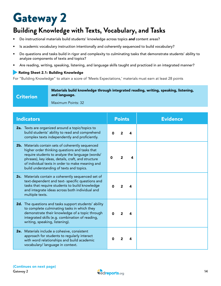# Gateway 2

# **Building Knowledge with Texts, Vocabulary, and Tasks**

- Do instructional materials build students' knowledge across topics *and* content areas?
- Is academic vocabulary instruction intentionally and coherently sequenced to build vocabulary?
- Do questions and tasks build in rigor and complexity to culminating tasks that demonstrate students' ability to analyze components of texts and topics?
- Are reading, writing, speaking, listening, and language skills taught and practiced in an integrated manner?

### Rating Sheet 2.1: Building Knowledge

For "Building Knowledge" to attain a score of 'Meets Expectations,' materials must earn at least 28 points

#### Materials build knowledge through integrated reading, writing, speaking, listening, and language.

Criterion

Maximum Points: 32

| <b>Indicators</b>                                                                                                                                                                                                                                                                                              | <b>Points</b> |   |   | <b>Evidence</b> |
|----------------------------------------------------------------------------------------------------------------------------------------------------------------------------------------------------------------------------------------------------------------------------------------------------------------|---------------|---|---|-----------------|
| 2a. Texts are organized around a topic/topics to<br>build students' ability to read and comprehend<br>complex texts independently and proficiently.                                                                                                                                                            | ŋ             |   | 4 |                 |
| 2b. Materials contain sets of coherently sequenced<br>higher order thinking questions and tasks that<br>require students to analyze the language (words/<br>phrases), key ideas, details, craft, and structure<br>of individual texts in order to make meaning and<br>build understanding of texts and topics. | Ω             | 2 | 4 |                 |
| 2c. Materials contain a coherently sequenced set of<br>text-dependent and text- specific questions and<br>tasks that require students to build knowledge<br>and integrate ideas across both individual and<br>multiple texts.                                                                                  |               |   |   |                 |
| 2d. The questions and tasks support students' ability<br>to complete culminating tasks in which they<br>demonstrate their knowledge of a topic through<br>integrated skills (e.g. combination of reading,<br>writing, speaking, listening).                                                                    | n             |   |   |                 |
| 2e. Materials include a cohesive, consistent<br>approach for students to regularly interact<br>with word relationships and build academic<br>vocabulary/ language in context.                                                                                                                                  | n             |   |   |                 |

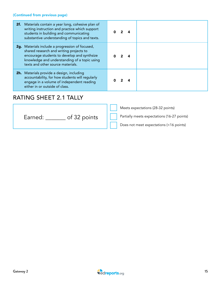### (Continued from previous page)

| 2f. Materials contain a year long, cohesive plan of<br>writing instruction and practice which support<br>students in building and communicating<br>substantive understanding of topics and texts.                              |  |  |
|--------------------------------------------------------------------------------------------------------------------------------------------------------------------------------------------------------------------------------|--|--|
| 2g. Materials include a progression of focused,<br>shared research and writing projects to<br>encourage students to develop and synthsize<br>knowledge and understanding of a topic using<br>texts and other source materials. |  |  |
| 2h. Materials provide a design, including<br>accountability, for how students will regularly<br>engage in a volume of independent reading<br>either in or outside of class.                                                    |  |  |

## RATING SHEET 2.1 TALLY

|                         | Meets expectations (28-32 points)           |
|-------------------------|---------------------------------------------|
| of 32 points<br>Earned: | Partially meets expectations (16-27 points) |
|                         | Does not meet expectations (<16 points)     |

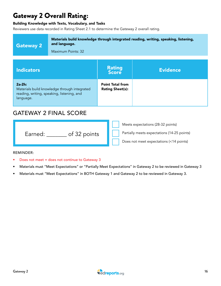## Gateway 2 Overall Rating:

### Building Knowledge with Texts, Vocabulary, and Tasks

Reviewers use data recorded in Rating Sheet 2.1 to determine the Gateway 2 overall rating.

| <b>Gateway 2</b> | Materials build knowledge through integrated reading, writing, speaking, listening,<br>and language.<br>Maximum Points: 32 |                                                    |                 |
|------------------|----------------------------------------------------------------------------------------------------------------------------|----------------------------------------------------|-----------------|
|                  |                                                                                                                            |                                                    |                 |
| Indicators       |                                                                                                                            | <b>Rating</b><br><b>Score</b>                      | <b>Evidence</b> |
| $2a-2h$ :        | Materials build knowledge through integrated<br>reading, writing, speaking, listening, and                                 | <b>Point Total from</b><br><b>Rating Sheet(s):</b> |                 |

### GATEWAY 2 FINAL SCORE

|                         | Meets expectations (28-32 points)           |
|-------------------------|---------------------------------------------|
| of 32 points<br>Earned: | Partially meets expectations (14-25 points) |
|                         | Does not meet expectations (<14 points)     |

REMINDER:

language.

- Does not meet = does not continue to Gateway 3
- Materials must "Meet Expectations" or "Partially Meet Expectations" in Gateway 2 to be reviewed in Gateway 3
- Materials must "Meet Expectations" in BOTH Gateway 1 and Gateway 2 to be reviewed in Gateway 3.

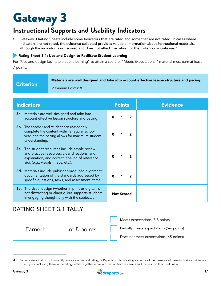# Gateway 3

# **Instructional Supports and Usability Indicators**

Gateway 3 Rating Sheets include some Indicators that are rated and some that are not rated. In cases where Indicators are not rated, the evidence collected provides valuable information about instructional materials, although the indicator is not scored and does not affect the rating for the Criterion or Gateway.<sup>3</sup>

### Rating Sheet 3.1: Use and Design to Facilitate Student Learning

For "Use and design facilitate student learning" to attain a score of "Meets Expectations," material must earn at least 7 points.

|  | <b>Criterion</b> |  |
|--|------------------|--|
|  |                  |  |
|  |                  |  |
|  |                  |  |

Materials are well designed and take into account effective lesson structure and pacing.

Maximum Points: 8

| <b>Indicators</b>                                                                                                                                                                      | <b>Points</b>     | <b>Evidence</b> |
|----------------------------------------------------------------------------------------------------------------------------------------------------------------------------------------|-------------------|-----------------|
| <b>3a.</b> Materials are well-designed and take into<br>account effective lesson structure and pacing.                                                                                 | $\mathbf{2}$      |                 |
| <b>3b.</b> The teacher and student can reasonably<br>complete the content within a regular school<br>year, and the pacing allows for maximum student<br>understanding.                 | 2                 |                 |
| 3c. The student resources include ample review<br>and practice resources, clear directions, and<br>explanation, and correct labeling of reference<br>aids (e.g., visuals, maps, etc.). |                   |                 |
| 3d. Materials include publisher-produced alignment<br>documentation of the standards addressed by<br>specific questions, tasks, and assessment items.                                  | $\overline{2}$    |                 |
| <b>3e.</b> The visual design (whether in print or digital) is<br>not distracting or chaotic, but supports students<br>in engaging thoughtfully with the subject                        | <b>Not Scored</b> |                 |

### RATING SHEET 3.1 TALLY

Earned: \_\_\_\_\_\_\_ of 8 points

Meets expectations (7-8 points)

Partially meets expectations (5-6 points)

Does not meet expectations (<5 points)



<sup>3</sup> For indicators that do not currently receive a numerical rating, EdReports.org is providing evidence of the presence of these indicators but we are currently not including them in the ratings until we gather more information from reviewers and the field on their usefulness.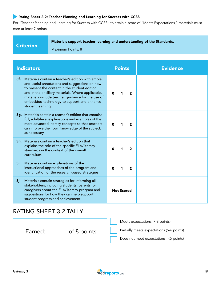### Rating Sheet 3.2: Teacher Planning and Learning for Success with CCSS

For "Teacher Planning and Learning for Success with CCSS" to attain a score of "Meets Expectations," materials must earn at least 7 points.

| <b>Criterion</b> | Materials support teacher learning and understanding of the Standards. |
|------------------|------------------------------------------------------------------------|
|                  | Maximum Points: 8                                                      |

| <b>Indicators</b>                                                                                                                                                                                                                                                                                                                      | <b>Points</b>       | <b>Evidence</b> |
|----------------------------------------------------------------------------------------------------------------------------------------------------------------------------------------------------------------------------------------------------------------------------------------------------------------------------------------|---------------------|-----------------|
| Materials contain a teacher's edition with ample<br>3f.<br>and useful annotations and suggestions on how<br>to present the content in the student edition<br>and in the ancillary materials. Where applicable,<br>materials include teacher guidance for the use of<br>embedded technology to support and enhance<br>student learning. | $\overline{2}$<br>ŋ |                 |
| 3g. Materials contain a teacher's edition that contains<br>full, adult-level explanations and examples of the<br>more advanced literacy concepts so that teachers<br>can improve their own knowledge of the subject,<br>as necessary.                                                                                                  | $\mathbf{2}$<br>n   |                 |
| <b>3h.</b> Materials contain a teacher's edition that<br>explains the role of the specific ELA/literacy<br>standards in the context of the overall<br>curriculum.                                                                                                                                                                      | $\overline{2}$<br>n |                 |
| Materials contain explanations of the<br>3i.<br>instructional approaches of the program and<br>identification of the research-based strategies.                                                                                                                                                                                        | 2<br>ŋ<br>1         |                 |
| Materials contain strategies for informing all<br>3j.<br>stakeholders, including students, parents, or<br>caregivers about the ELA/literacy program and<br>suggestions for how they can help support<br>student progress and achievement.                                                                                              | <b>Not Scored</b>   |                 |

### RATING SHEET 3.2 TALLY



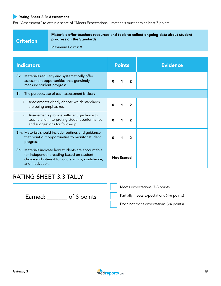### Rating Sheet 3.3: Assessment

For "Assessment" to attain a score of "Meets Expectations," materials must earn at least 7 points.

### **Criterion**

Materials offer teachers resources and tools to collect ongoing data about student progress on the Standards.

Maximum Points: 8

| <b>Indicators</b>                                                                                                                                                              | <b>Points</b>       | <b>Evidence</b> |  |
|--------------------------------------------------------------------------------------------------------------------------------------------------------------------------------|---------------------|-----------------|--|
| <b>3k.</b> Materials regularly and systematically offer<br>assessment opportunities that genuinely<br>measure student progress.                                                | 2<br>n              |                 |  |
| The purpose/use of each assessment is clear:<br>3I.                                                                                                                            |                     |                 |  |
| Assessments clearly denote which standards<br>are being emphasized.                                                                                                            | $\overline{2}$<br>O |                 |  |
| ii. Assessments provide sufficient guidance to<br>teachers for interpreting student performance<br>and suggestions for follow-up.                                              | 2                   |                 |  |
| <b>3m.</b> Materials should include routines and guidance<br>that point out opportunities to monitor student<br>progress.                                                      | 2<br>ŋ              |                 |  |
| <b>3n.</b> Materials indicate how students are accountable<br>for independent reading based on student<br>choice and interest to build stamina, confidence,<br>and motivation. | <b>Not Scored</b>   |                 |  |

### RATING SHEET 3.3 TALLY

Earned: \_\_\_\_\_\_\_\_ of 8 points

Meets expectations (7-8 points)

Partially meets expectations (4-6 points)

Does not meet expectations (<4 points)

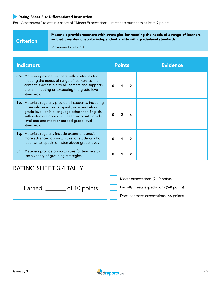### Rating Sheet 3.4: Differentiated Instruction

For "Assessment" to attain a score of "Meets Expectations," materials must earn at least 9 points.

### **Criterion**

Materials provide teachers with strategies for meeting the needs of a range of learners so that they demonstrate independent ability with grade-level standards.

Maximum Points: 10

| <b>Indicators</b>                                                                                                                                                                                                                                                                  | <b>Points</b> |  | <b>Evidence</b> |
|------------------------------------------------------------------------------------------------------------------------------------------------------------------------------------------------------------------------------------------------------------------------------------|---------------|--|-----------------|
| <b>30.</b> Materials provide teachers with strategies for<br>meeting the needs of range of learners so the<br>content is accessible to all learners and supports<br>them in meeting or exceeding the grade-level<br>standards.                                                     |               |  |                 |
| <b>3p.</b> Materials regularly provide all students, including<br>those who read, write, speak, or listen below<br>grade level, or in a language other than English,<br>with extensive opportunities to work with grade<br>level text and meet or exceed grade-level<br>standards. |               |  |                 |
| <b>3q.</b> Materials regularly include extensions and/or<br>more advanced opportunities for students who<br>read, write, speak, or listen above grade level.                                                                                                                       |               |  |                 |
| Materials provide opportunities for teachers to<br>3r.<br>use a variety of grouping strategies.                                                                                                                                                                                    |               |  |                 |

## RATING SHEET 3.4 TALLY

Earned: \_\_\_\_\_\_\_ of 10 points

Meets expectations (9-10 points)

Partially meets expectations (6-8 points)

Does not meet expectations (<6 points)

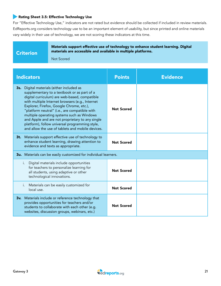### Rating Sheet 3.5: Effective Technology Use

For "Effective Technology Use," indicators are not rated but evidence should be collected if included in review materials. EdReports.org considers technology use to be an important element of usability, but since printed and online materials vary widely in their use of technology, we are not scoring these indicators at this time.

### **Criterion**

Materials support effective use of technology to enhance student learning. Digital materials are accessible and available in multiple platforms.

Not Scored

| <b>Indicators</b>                                                                                                                                                                                                                                                                                                                                                                                                                                                                                | <b>Points</b>     | <b>Evidence</b> |  |  |
|--------------------------------------------------------------------------------------------------------------------------------------------------------------------------------------------------------------------------------------------------------------------------------------------------------------------------------------------------------------------------------------------------------------------------------------------------------------------------------------------------|-------------------|-----------------|--|--|
| 3s. Digital materials (either included as<br>supplementary to a textbook or as part of a<br>digital curriculum) are web-based, compatible<br>with multiple Internet browsers (e.g., Internet<br>Explorer, Firefox, Google Chrome, etc.),<br>"platform neutral" (i.e., are compatible with<br>multiple operating systems such as Windows<br>and Apple and are not proprietary to any single<br>platform), follow universal programming style,<br>and allow the use of tablets and mobile devices. | <b>Not Scored</b> |                 |  |  |
| 3t. Materials support effective use of technology to<br>enhance student learning, drawing attention to<br>evidence and texts as appropriate.                                                                                                                                                                                                                                                                                                                                                     | <b>Not Scored</b> |                 |  |  |
| 3u. Materials can be easily customized for individual learners.                                                                                                                                                                                                                                                                                                                                                                                                                                  |                   |                 |  |  |
| Digital materials include opportunities<br>i.<br>for teachers to personalize learning for<br>all students, using adaptive or other<br>technological innovations.                                                                                                                                                                                                                                                                                                                                 | <b>Not Scored</b> |                 |  |  |
| Materials can be easily customized for<br>i.<br>local use.                                                                                                                                                                                                                                                                                                                                                                                                                                       | <b>Not Scored</b> |                 |  |  |
| 3v. Materials include or reference technology that<br>provides opportunities for teachers and/or<br>students to collaborate with each other (e.g.<br>websites, discussion groups, webinars, etc.)                                                                                                                                                                                                                                                                                                | <b>Not Scored</b> |                 |  |  |